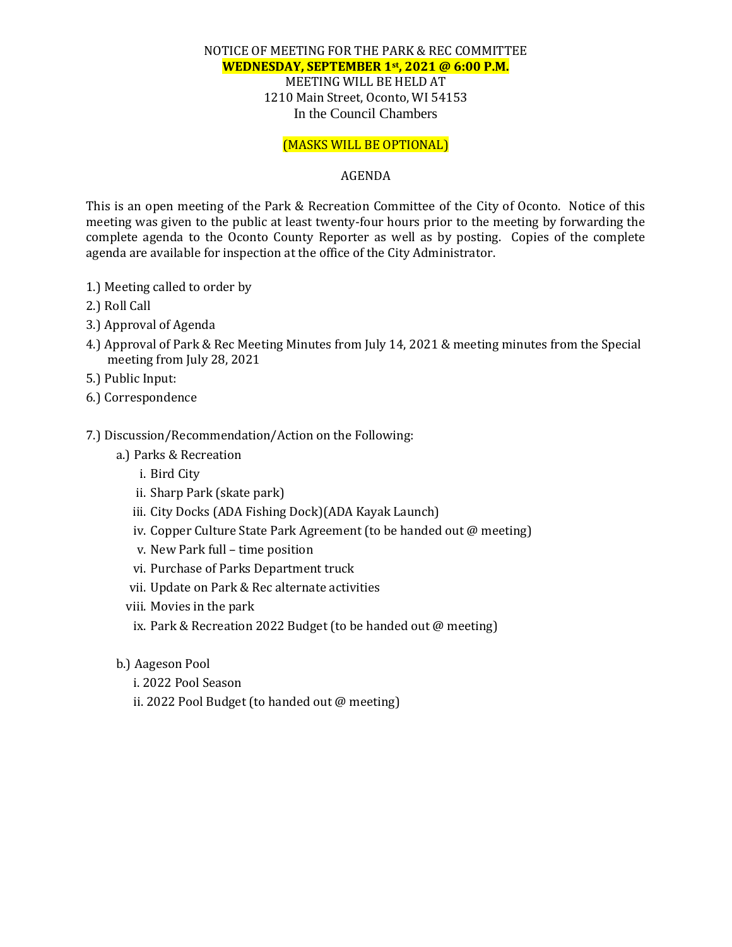#### NOTICE OF MEETING FOR THE PARK & REC COMMITTEE **WEDNESDAY, SEPTEMBER 1st , 2021 @ 6:00 P.M.** MEETING WILL BE HELD AT 1210 Main Street, Oconto, WI 54153 In the Council Chambers

### (MASKS WILL BE OPTIONAL)

#### AGENDA

This is an open meeting of the Park & Recreation Committee of the City of Oconto. Notice of this meeting was given to the public at least twenty-four hours prior to the meeting by forwarding the complete agenda to the Oconto County Reporter as well as by posting. Copies of the complete agenda are available for inspection at the office of the City Administrator.

- 1.) Meeting called to order by
- 2.) Roll Call
- 3.) Approval of Agenda
- 4.) Approval of Park & Rec Meeting Minutes from July 14, 2021 & meeting minutes from the Special meeting from July 28, 2021
- 5.) Public Input:
- 6.) Correspondence

#### 7.) Discussion/Recommendation/Action on the Following:

- a.) Parks & Recreation
	- i. Bird City
	- ii. Sharp Park (skate park)
	- iii. City Docks (ADA Fishing Dock)(ADA Kayak Launch)
	- iv. Copper Culture State Park Agreement (to be handed out @ meeting)
	- v. New Park full time position
	- vi. Purchase of Parks Department truck
	- vii. Update on Park & Rec alternate activities
	- viii. Movies in the park
	- ix. Park & Recreation 2022 Budget (to be handed out @ meeting)
- b.) Aageson Pool
	- i. 2022 Pool Season
	- ii. 2022 Pool Budget (to handed out @ meeting)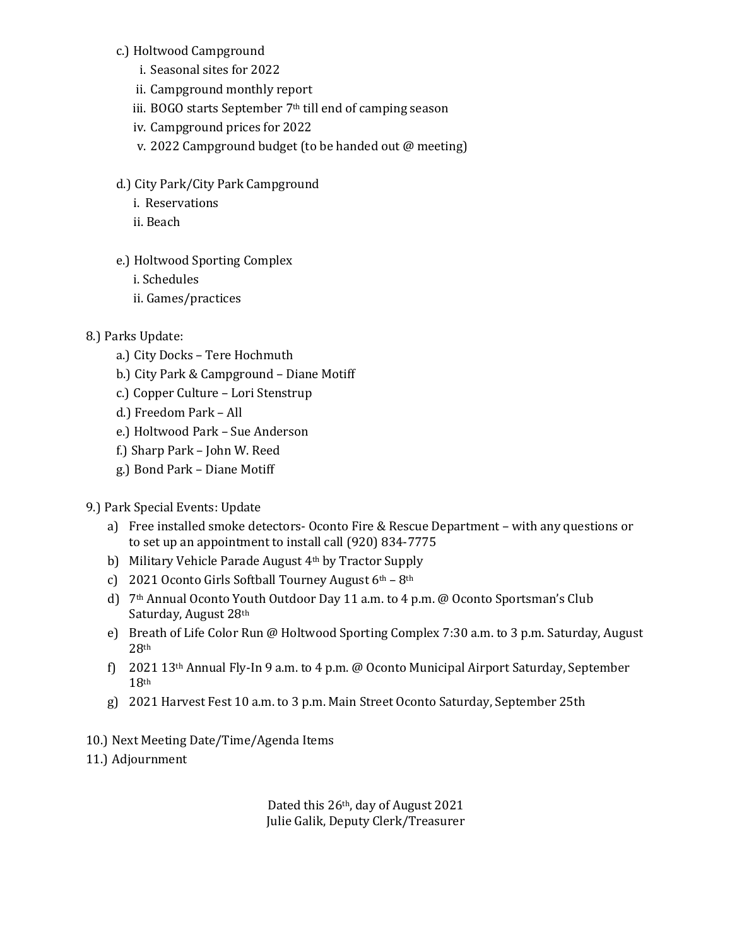## c.) Holtwood Campground

- i. Seasonal sites for 2022
- ii. Campground monthly report
- iii. BOGO starts September 7<sup>th</sup> till end of camping season
- iv. Campground prices for 2022
- v. 2022 Campground budget (to be handed out @ meeting)
- d.) City Park/City Park Campground
	- i. Reservations
	- ii. Beach
- e.) Holtwood Sporting Complex
	- i. Schedules
	- ii. Games/practices

# 8.) Parks Update:

- a.) City Docks Tere Hochmuth
- b.) City Park & Campground Diane Motiff
- c.) Copper Culture Lori Stenstrup
- d.) Freedom Park All
- e.) Holtwood Park Sue Anderson
- f.) Sharp Park John W. Reed
- g.) Bond Park Diane Motiff

## 9.) Park Special Events: Update

- a) Free installed smoke detectors- Oconto Fire & Rescue Department with any questions or to set up an appointment to install call (920) 834-7775
- b) Military Vehicle Parade August 4th by Tractor Supply
- c) 2021 Oconto Girls Softball Tourney August  $6<sup>th</sup> 8<sup>th</sup>$
- d) 7th Annual Oconto Youth Outdoor Day 11 a.m. to 4 p.m. @ Oconto Sportsman's Club Saturday, August 28th
- e) Breath of Life Color Run @ Holtwood Sporting Complex 7:30 a.m. to 3 p.m. Saturday, August 28th
- f) 2021 13th Annual Fly-In 9 a.m. to 4 p.m. @ Oconto Municipal Airport Saturday, September 18th
- g) 2021 Harvest Fest 10 a.m. to 3 p.m. Main Street Oconto Saturday, September 25th

10.) Next Meeting Date/Time/Agenda Items

11.) Adjournment

Dated this 26th, day of August 2021 Julie Galik, Deputy Clerk/Treasurer